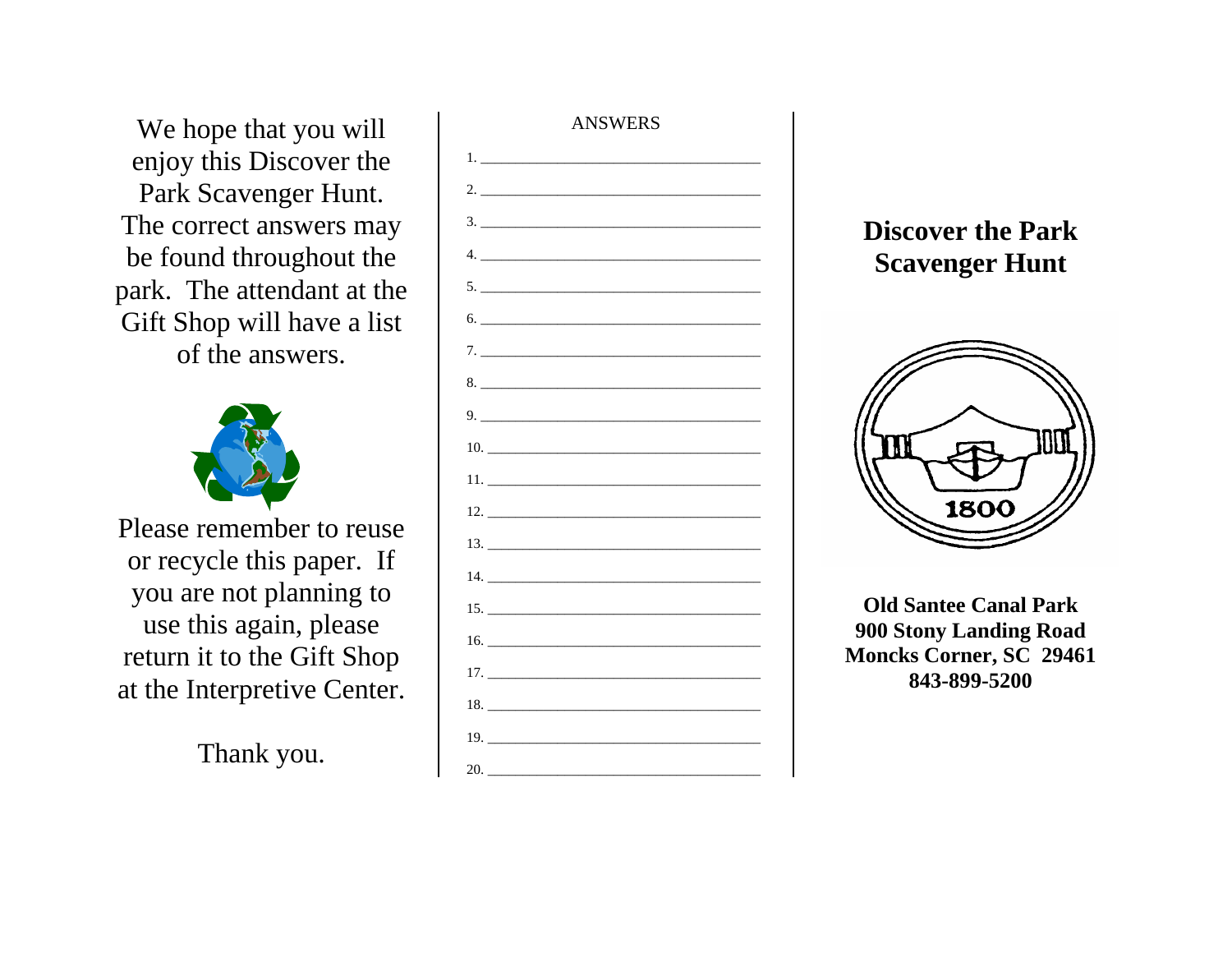We hope that you will enjoy this Discover the Park Scavenger Hunt. The correct answers may be found throughout the park. The attendant at the Gift Shop will have a list of the answers.



Please remember to reuse or recycle this paper. If you are not planning to use this again, please return it to the Gift Shop at the Interpretive Center.

Thank you.



## **Discover the Park Scavenger Hunt**



**Old Santee Canal Park 900 Stony Landing Road Moncks Corner, SC 29461 843-899-5200**